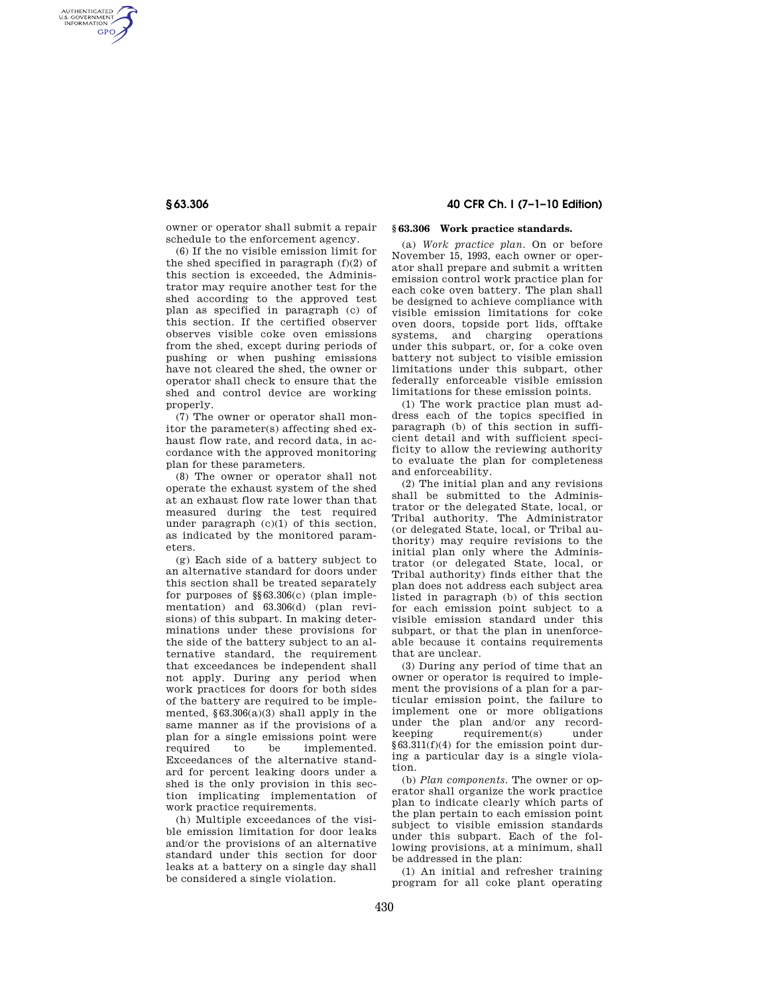AUTHENTICATED<br>U.S. GOVERNMENT<br>INFORMATION **GPO** 

> owner or operator shall submit a repair schedule to the enforcement agency.

(6) If the no visible emission limit for the shed specified in paragraph (f)(2) of this section is exceeded, the Administrator may require another test for the shed according to the approved test plan as specified in paragraph (c) of this section. If the certified observer observes visible coke oven emissions from the shed, except during periods of pushing or when pushing emissions have not cleared the shed, the owner or operator shall check to ensure that the shed and control device are working properly.

(7) The owner or operator shall monitor the parameter(s) affecting shed exhaust flow rate, and record data, in accordance with the approved monitoring plan for these parameters.

(8) The owner or operator shall not operate the exhaust system of the shed at an exhaust flow rate lower than that measured during the test required under paragraph (c)(1) of this section, as indicated by the monitored parameters.

(g) Each side of a battery subject to an alternative standard for doors under this section shall be treated separately for purposes of §§63.306(c) (plan implementation) and 63.306(d) (plan revisions) of this subpart. In making determinations under these provisions for the side of the battery subject to an alternative standard, the requirement that exceedances be independent shall not apply. During any period when work practices for doors for both sides of the battery are required to be implemented,  $§63.306(a)(3)$  shall apply in the same manner as if the provisions of a plan for a single emissions point were required to be implemented. Exceedances of the alternative standard for percent leaking doors under a shed is the only provision in this section implicating implementation of work practice requirements.

(h) Multiple exceedances of the visible emission limitation for door leaks and/or the provisions of an alternative standard under this section for door leaks at a battery on a single day shall be considered a single violation.

# **§ 63.306 40 CFR Ch. I (7–1–10 Edition)**

#### **§ 63.306 Work practice standards.**

(a) *Work practice plan.* On or before November 15, 1993, each owner or operator shall prepare and submit a written emission control work practice plan for each coke oven battery. The plan shall be designed to achieve compliance with visible emission limitations for coke oven doors, topside port lids, offtake systems, and charging operations under this subpart, or, for a coke oven battery not subject to visible emission limitations under this subpart, other federally enforceable visible emission limitations for these emission points.

(1) The work practice plan must address each of the topics specified in paragraph (b) of this section in sufficient detail and with sufficient specificity to allow the reviewing authority to evaluate the plan for completeness and enforceability.

(2) The initial plan and any revisions shall be submitted to the Administrator or the delegated State, local, or Tribal authority. The Administrator (or delegated State, local, or Tribal authority) may require revisions to the initial plan only where the Administrator (or delegated State, local, or Tribal authority) finds either that the plan does not address each subject area listed in paragraph (b) of this section for each emission point subject to a visible emission standard under this subpart, or that the plan in unenforceable because it contains requirements that are unclear.

(3) During any period of time that an owner or operator is required to implement the provisions of a plan for a particular emission point, the failure to implement one or more obligations under the plan and/or any recordkeeping requirement(s) under §63.311(f)(4) for the emission point during a particular day is a single violation.

(b) *Plan components.* The owner or operator shall organize the work practice plan to indicate clearly which parts of the plan pertain to each emission point subject to visible emission standards under this subpart. Each of the following provisions, at a minimum, shall be addressed in the plan:

(1) An initial and refresher training program for all coke plant operating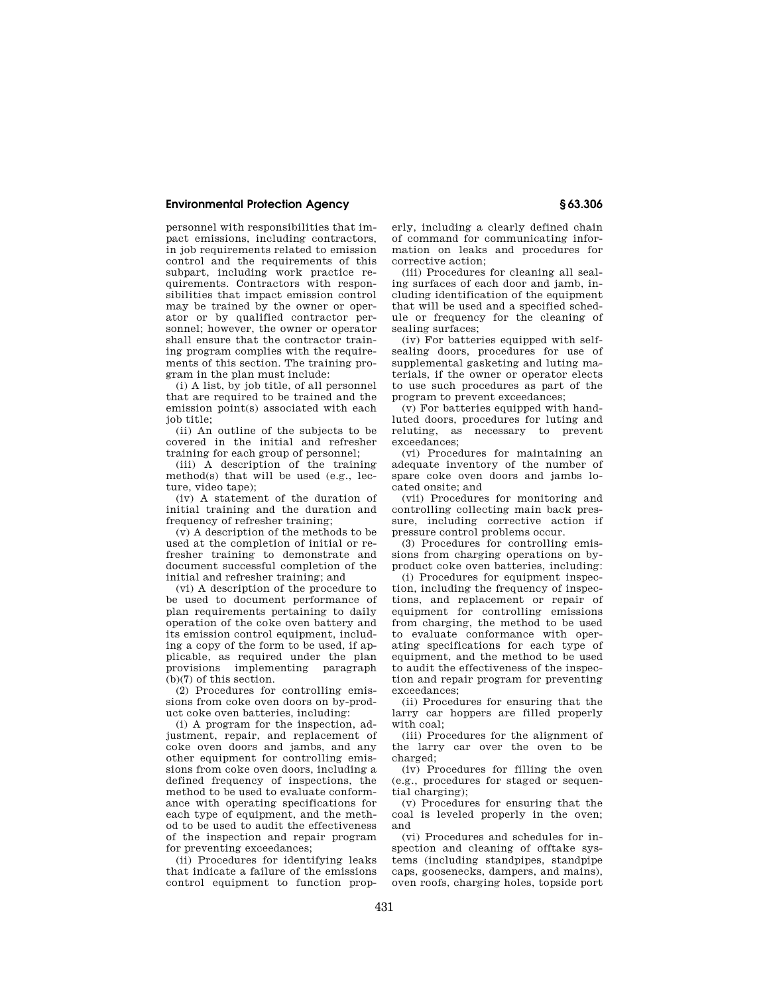## **Environmental Protection Agency § 63.306**

personnel with responsibilities that impact emissions, including contractors, in job requirements related to emission control and the requirements of this subpart, including work practice requirements. Contractors with responsibilities that impact emission control may be trained by the owner or operator or by qualified contractor personnel; however, the owner or operator shall ensure that the contractor training program complies with the requirements of this section. The training program in the plan must include:

(i) A list, by job title, of all personnel that are required to be trained and the emission point(s) associated with each job title;

(ii) An outline of the subjects to be covered in the initial and refresher training for each group of personnel;

(iii) A description of the training method(s) that will be used (e.g., lecture, video tape);

(iv) A statement of the duration of initial training and the duration and frequency of refresher training;

(v) A description of the methods to be used at the completion of initial or refresher training to demonstrate and document successful completion of the initial and refresher training; and

(vi) A description of the procedure to be used to document performance of plan requirements pertaining to daily operation of the coke oven battery and its emission control equipment, including a copy of the form to be used, if applicable, as required under the plan provisions implementing paragraph (b)(7) of this section.

(2) Procedures for controlling emissions from coke oven doors on by-product coke oven batteries, including:

(i) A program for the inspection, adjustment, repair, and replacement of coke oven doors and jambs, and any other equipment for controlling emissions from coke oven doors, including a defined frequency of inspections, the method to be used to evaluate conformance with operating specifications for each type of equipment, and the method to be used to audit the effectiveness of the inspection and repair program for preventing exceedances;

(ii) Procedures for identifying leaks that indicate a failure of the emissions control equipment to function prop-

erly, including a clearly defined chain of command for communicating information on leaks and procedures for corrective action;

(iii) Procedures for cleaning all sealing surfaces of each door and jamb, including identification of the equipment that will be used and a specified schedule or frequency for the cleaning of sealing surfaces;

(iv) For batteries equipped with selfsealing doors, procedures for use of supplemental gasketing and luting materials, if the owner or operator elects to use such procedures as part of the program to prevent exceedances;

(v) For batteries equipped with handluted doors, procedures for luting and reluting, as necessary to prevent exceedances;

(vi) Procedures for maintaining an adequate inventory of the number of spare coke oven doors and jambs located onsite; and

(vii) Procedures for monitoring and controlling collecting main back pressure, including corrective action if pressure control problems occur.

(3) Procedures for controlling emissions from charging operations on byproduct coke oven batteries, including:

(i) Procedures for equipment inspection, including the frequency of inspections, and replacement or repair of equipment for controlling emissions from charging, the method to be used to evaluate conformance with operating specifications for each type of equipment, and the method to be used to audit the effectiveness of the inspection and repair program for preventing exceedances;

(ii) Procedures for ensuring that the larry car hoppers are filled properly with coal;

(iii) Procedures for the alignment of the larry car over the oven to be charged;

(iv) Procedures for filling the oven (e.g., procedures for staged or sequential charging);

(v) Procedures for ensuring that the coal is leveled properly in the oven; and

(vi) Procedures and schedules for inspection and cleaning of offtake systems (including standpipes, standpipe caps, goosenecks, dampers, and mains), oven roofs, charging holes, topside port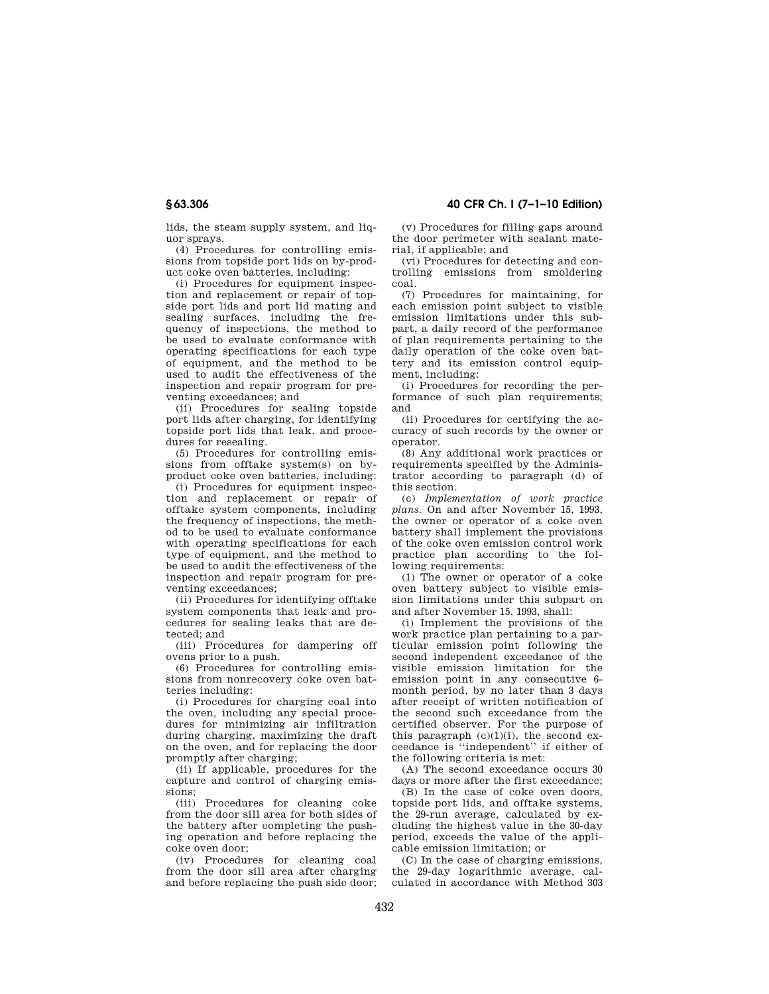lids, the steam supply system, and liquor sprays.

(4) Procedures for controlling emissions from topside port lids on by-product coke oven batteries, including:

(i) Procedures for equipment inspection and replacement or repair of topside port lids and port lid mating and sealing surfaces, including the frequency of inspections, the method to be used to evaluate conformance with operating specifications for each type of equipment, and the method to be used to audit the effectiveness of the inspection and repair program for preventing exceedances; and

(ii) Procedures for sealing topside port lids after charging, for identifying topside port lids that leak, and procedures for resealing.

(5) Procedures for controlling emissions from offtake system(s) on byproduct coke oven batteries, including:

(i) Procedures for equipment inspection and replacement or repair of offtake system components, including the frequency of inspections, the method to be used to evaluate conformance with operating specifications for each type of equipment, and the method to be used to audit the effectiveness of the inspection and repair program for preventing exceedances;

(ii) Procedures for identifying offtake system components that leak and procedures for sealing leaks that are detected; and

(iii) Procedures for dampering off ovens prior to a push.

(6) Procedures for controlling emissions from nonrecovery coke oven batteries including:

(i) Procedures for charging coal into the oven, including any special procedures for minimizing air infiltration during charging, maximizing the draft on the oven, and for replacing the door promptly after charging;

(ii) If applicable, procedures for the capture and control of charging emissions;

(iii) Procedures for cleaning coke from the door sill area for both sides of the battery after completing the pushing operation and before replacing the coke oven door;

(iv) Procedures for cleaning coal from the door sill area after charging and before replacing the push side door;

**§ 63.306 40 CFR Ch. I (7–1–10 Edition)** 

(v) Procedures for filling gaps around the door perimeter with sealant material, if applicable; and

(vi) Procedures for detecting and controlling emissions from smoldering coal.

(7) Procedures for maintaining, for each emission point subject to visible emission limitations under this subpart, a daily record of the performance of plan requirements pertaining to the daily operation of the coke oven battery and its emission control equipment, including:

(i) Procedures for recording the performance of such plan requirements; and

(ii) Procedures for certifying the accuracy of such records by the owner or operator.

(8) Any additional work practices or requirements specified by the Administrator according to paragraph (d) of this section.

(c) *Implementation of work practice plans.* On and after November 15, 1993, the owner or operator of a coke oven battery shall implement the provisions of the coke oven emission control work practice plan according to the following requirements:

(1) The owner or operator of a coke oven battery subject to visible emission limitations under this subpart on and after November 15, 1993, shall:

(i) Implement the provisions of the work practice plan pertaining to a particular emission point following the second independent exceedance of the visible emission limitation for the emission point in any consecutive 6 month period, by no later than 3 days after receipt of written notification of the second such exceedance from the certified observer. For the purpose of this paragraph  $(c)(1)(i)$ , the second exceedance is ''independent'' if either of the following criteria is met:

(A) The second exceedance occurs 30 days or more after the first exceedance;

(B) In the case of coke oven doors, topside port lids, and offtake systems, the 29-run average, calculated by excluding the highest value in the 30-day period, exceeds the value of the applicable emission limitation; or

(C) In the case of charging emissions, the 29-day logarithmic average, calculated in accordance with Method 303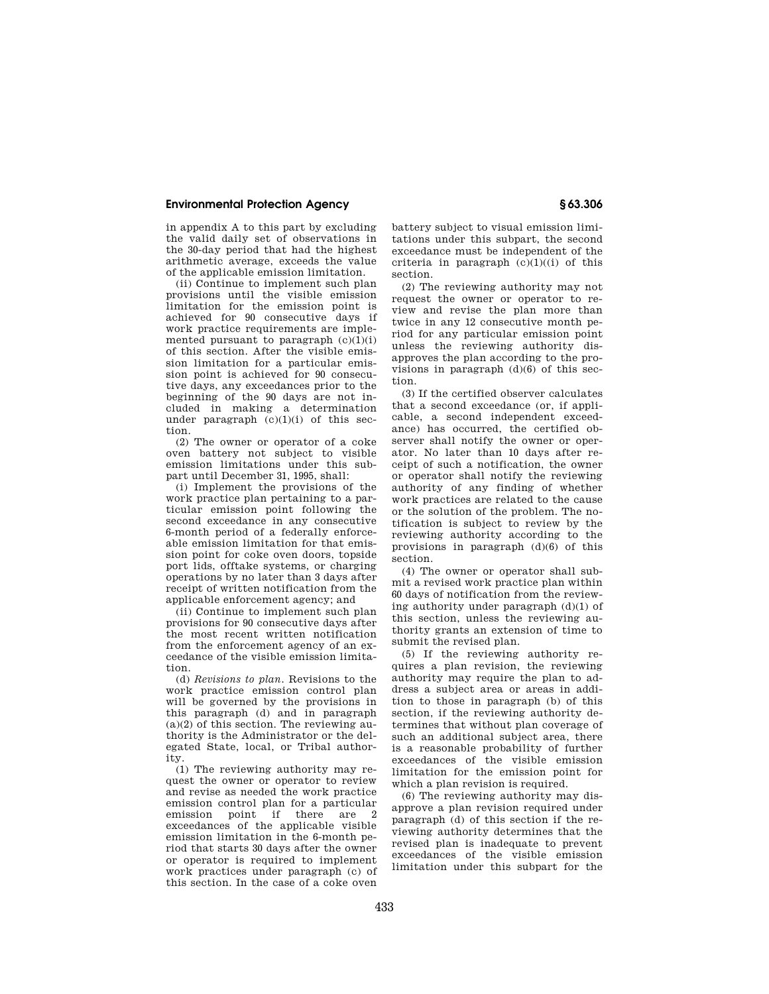## **Environmental Protection Agency § 63.306**

in appendix A to this part by excluding the valid daily set of observations in the 30-day period that had the highest arithmetic average, exceeds the value of the applicable emission limitation.

(ii) Continue to implement such plan provisions until the visible emission limitation for the emission point is achieved for 90 consecutive days if work practice requirements are implemented pursuant to paragraph  $(c)(1)(i)$ of this section. After the visible emission limitation for a particular emission point is achieved for 90 consecutive days, any exceedances prior to the beginning of the 90 days are not included in making a determination under paragraph  $(c)(1)(i)$  of this section.

(2) The owner or operator of a coke oven battery not subject to visible emission limitations under this subpart until December 31, 1995, shall:

(i) Implement the provisions of the work practice plan pertaining to a particular emission point following the second exceedance in any consecutive 6-month period of a federally enforceable emission limitation for that emission point for coke oven doors, topside port lids, offtake systems, or charging operations by no later than 3 days after receipt of written notification from the applicable enforcement agency; and

(ii) Continue to implement such plan provisions for 90 consecutive days after the most recent written notification from the enforcement agency of an exceedance of the visible emission limitation.

(d) *Revisions to plan.* Revisions to the work practice emission control plan will be governed by the provisions in this paragraph (d) and in paragraph  $(a)(2)$  of this section. The reviewing authority is the Administrator or the delegated State, local, or Tribal authority.

(1) The reviewing authority may request the owner or operator to review and revise as needed the work practice emission control plan for a particular emission point if there are 2 exceedances of the applicable visible emission limitation in the 6-month period that starts 30 days after the owner or operator is required to implement work practices under paragraph (c) of this section. In the case of a coke oven

battery subject to visual emission limitations under this subpart, the second exceedance must be independent of the criteria in paragraph  $(c)(1)((i)$  of this section.

(2) The reviewing authority may not request the owner or operator to review and revise the plan more than twice in any 12 consecutive month period for any particular emission point unless the reviewing authority disapproves the plan according to the provisions in paragraph  $(d)(6)$  of this section.

(3) If the certified observer calculates that a second exceedance (or, if applicable, a second independent exceedance) has occurred, the certified observer shall notify the owner or operator. No later than 10 days after receipt of such a notification, the owner or operator shall notify the reviewing authority of any finding of whether work practices are related to the cause or the solution of the problem. The notification is subject to review by the reviewing authority according to the provisions in paragraph (d)(6) of this section.

(4) The owner or operator shall submit a revised work practice plan within 60 days of notification from the reviewing authority under paragraph (d)(1) of this section, unless the reviewing authority grants an extension of time to submit the revised plan.

(5) If the reviewing authority requires a plan revision, the reviewing authority may require the plan to address a subject area or areas in addition to those in paragraph (b) of this section, if the reviewing authority determines that without plan coverage of such an additional subject area, there is a reasonable probability of further exceedances of the visible emission limitation for the emission point for which a plan revision is required.

(6) The reviewing authority may disapprove a plan revision required under paragraph (d) of this section if the reviewing authority determines that the revised plan is inadequate to prevent exceedances of the visible emission limitation under this subpart for the